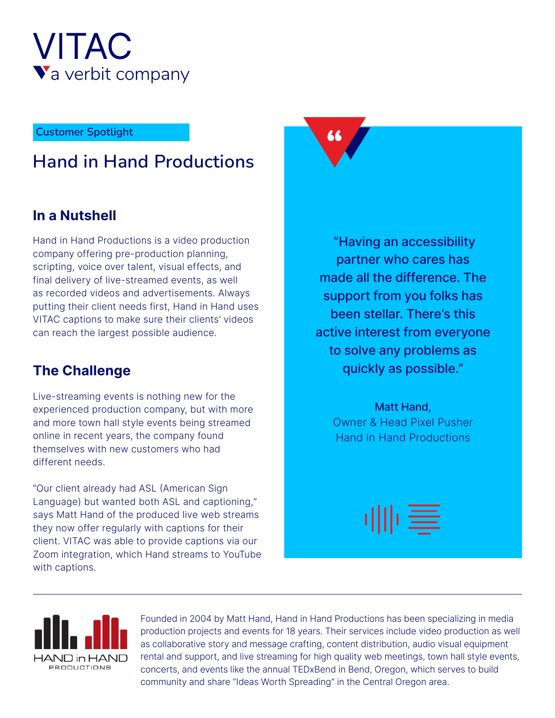

# **Spotlight** Customer Spotlight<br>
Lloyddin Lloydd Droed: estione **Hand in Hand Productions**

### **In a Nutshell**

Hand in Hand Productions is a video production company offering pre-production planning, scripting, voice over talent, visual effects, and final delivery of live-streamed events, as well as recorded videos and advertisements. Always putting their client needs first, Hand in Hand uses VITAC captions to make sure their clients' videos can reach the largest possible audience.

# **The Challenge**

Live-streaming events is nothing new for the experienced production company, but with more and more town hall style events being streamed online in recent years, the company found themselves with new customers who had different needs.

"Our client already had ASL (American Sign Language) but wanted both ASL and captioning," says Matt Hand of the produced live web streams they now offer regularly with captions for their client. VITAC was able to provide captions via our Zoom integration, which Hand streams to YouTube with captions.

"Having an accessibility partner who cares has made all the difference. The support from you folks has been stellar. There's this active interest from everyone to solve any problems as quickly as possible."

Matt Hand, Owner & Head Pixel Pusher Hand in Hand Productions

⊪≣



Founded in 2004 by Matt Hand, Hand in Hand Productions has been specializing in media production projects and events for 18 years. Their services include video production as well as collaborative story and message crafting, content distribution, audio visual equipment rental and support, and live streaming for high quality web meetings, town hall style events, concerts, and events like the annual TEDxBend in Bend, Oregon, which serves to build community and share "Ideas Worth Spreading" in the Central Oregon area.